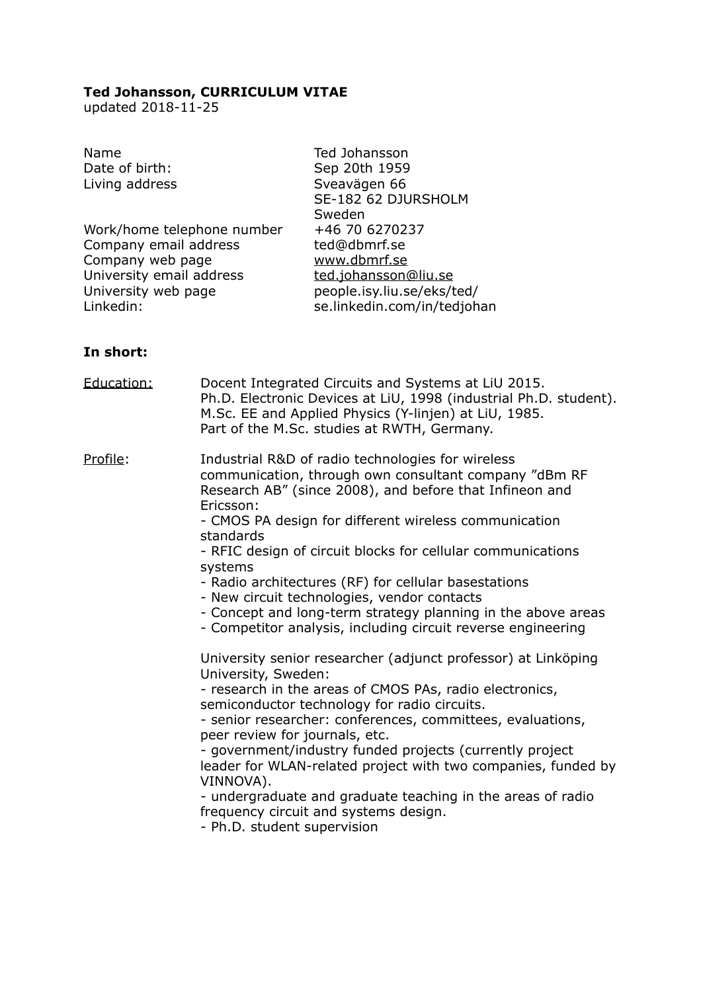### **Ted Johansson, CURRICULUM VITAE**

updated 2018-11-25

| Ted Johansson<br>Sep 20th 1959<br>Sveavägen 66<br>SE-182 62 DJURSHOLM<br>Sweden<br>+46 70 6270237<br>ted@dbmrf.se |
|-------------------------------------------------------------------------------------------------------------------|
| www.dbmrf.se<br>ted.johansson@liu.se<br>people.isy.liu.se/eks/ted/<br>se.linkedin.com/in/tedjohan                 |
|                                                                                                                   |

# **In short:**

| Education: | Docent Integrated Circuits and Systems at LiU 2015.<br>Ph.D. Electronic Devices at LiU, 1998 (industrial Ph.D. student).<br>M.Sc. EE and Applied Physics (Y-linjen) at LiU, 1985.<br>Part of the M.Sc. studies at RWTH, Germany.                                                                                                                                                                                                                                                                                                                                                                                                                                                                                                                                                                                                                                                                                                                                                                                                                                                                                                                              |
|------------|---------------------------------------------------------------------------------------------------------------------------------------------------------------------------------------------------------------------------------------------------------------------------------------------------------------------------------------------------------------------------------------------------------------------------------------------------------------------------------------------------------------------------------------------------------------------------------------------------------------------------------------------------------------------------------------------------------------------------------------------------------------------------------------------------------------------------------------------------------------------------------------------------------------------------------------------------------------------------------------------------------------------------------------------------------------------------------------------------------------------------------------------------------------|
| Profile:   | Industrial R&D of radio technologies for wireless<br>communication, through own consultant company "dBm RF<br>Research AB" (since 2008), and before that Infineon and<br>Ericsson:<br>- CMOS PA design for different wireless communication<br>standards<br>- RFIC design of circuit blocks for cellular communications<br>systems<br>- Radio architectures (RF) for cellular basestations<br>- New circuit technologies, vendor contacts<br>- Concept and long-term strategy planning in the above areas<br>- Competitor analysis, including circuit reverse engineering<br>University senior researcher (adjunct professor) at Linköping<br>University, Sweden:<br>- research in the areas of CMOS PAs, radio electronics,<br>semiconductor technology for radio circuits.<br>- senior researcher: conferences, committees, evaluations,<br>peer review for journals, etc.<br>- government/industry funded projects (currently project<br>leader for WLAN-related project with two companies, funded by<br>VINNOVA).<br>- undergraduate and graduate teaching in the areas of radio<br>frequency circuit and systems design.<br>- Ph.D. student supervision |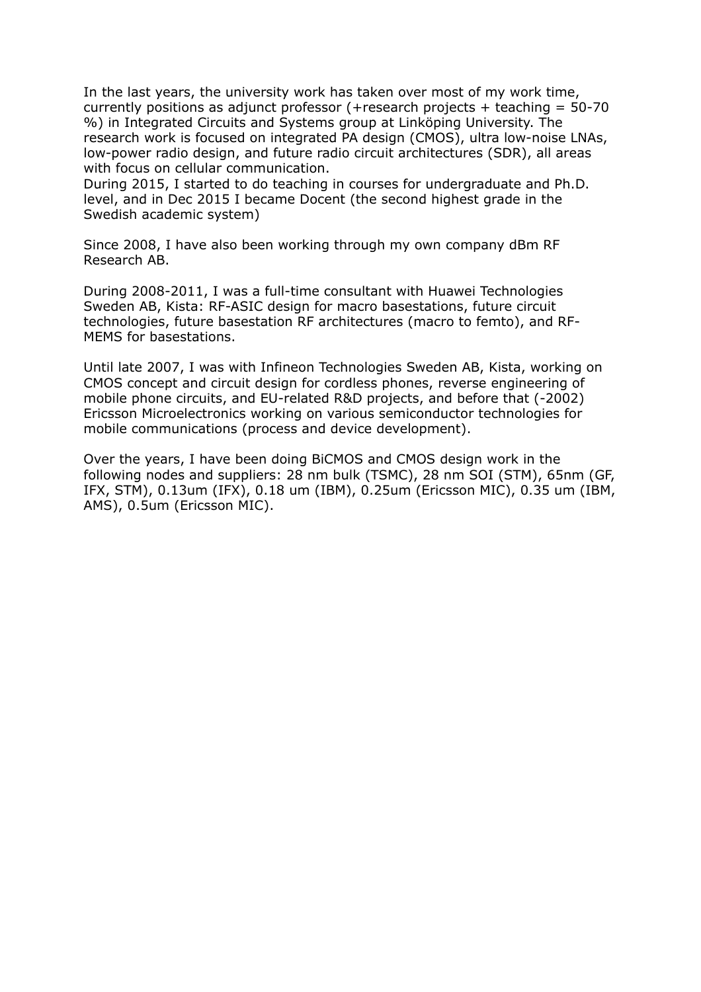In the last years, the university work has taken over most of my work time, currently positions as adjunct professor (+research projects + teaching =  $50-70$ %) in Integrated Circuits and Systems group at Linköping University. The research work is focused on integrated PA design (CMOS), ultra low-noise LNAs, low-power radio design, and future radio circuit architectures (SDR), all areas with focus on cellular communication.

During 2015, I started to do teaching in courses for undergraduate and Ph.D. level, and in Dec 2015 I became Docent (the second highest grade in the Swedish academic system)

Since 2008, I have also been working through my own company dBm RF Research AB.

During 2008-2011, I was a full-time consultant with Huawei Technologies Sweden AB, Kista: RF-ASIC design for macro basestations, future circuit technologies, future basestation RF architectures (macro to femto), and RF-MEMS for basestations.

Until late 2007, I was with Infineon Technologies Sweden AB, Kista, working on CMOS concept and circuit design for cordless phones, reverse engineering of mobile phone circuits, and EU-related R&D projects, and before that (-2002) Ericsson Microelectronics working on various semiconductor technologies for mobile communications (process and device development).

Over the years, I have been doing BiCMOS and CMOS design work in the following nodes and suppliers: 28 nm bulk (TSMC), 28 nm SOI (STM), 65nm (GF, IFX, STM), 0.13um (IFX), 0.18 um (IBM), 0.25um (Ericsson MIC), 0.35 um (IBM, AMS), 0.5um (Ericsson MIC).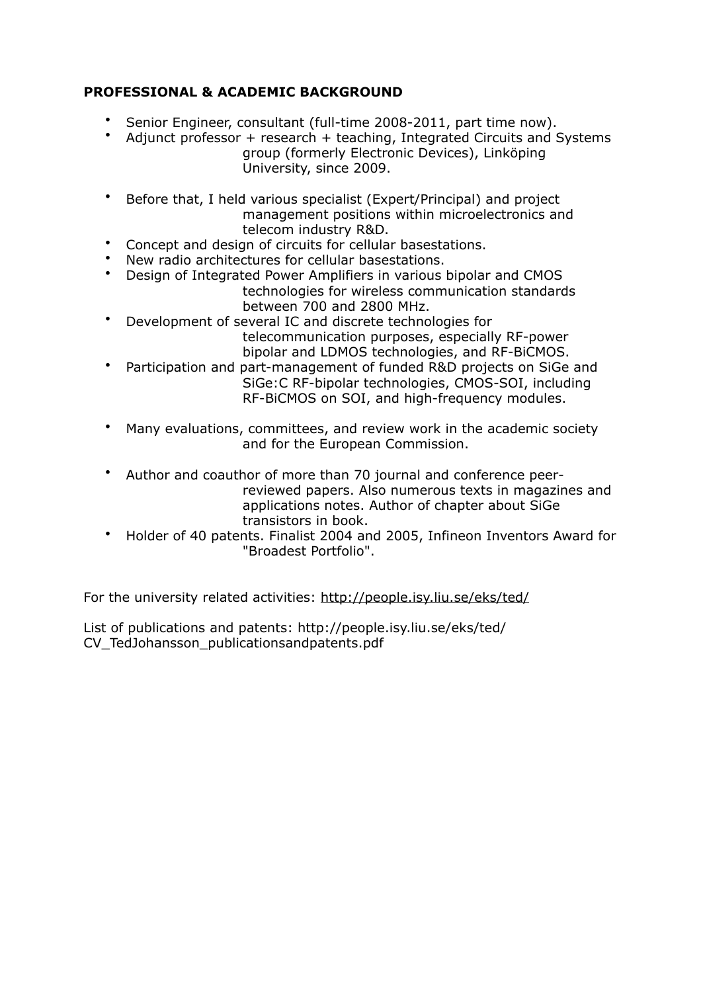# **PROFESSIONAL & ACADEMIC BACKGROUND**

- Senior Engineer, consultant (full-time 2008-2011, part time now).
- Adjunct professor  $+$  research  $+$  teaching, Integrated Circuits and Systems group (formerly Electronic Devices), Linköping University, since 2009.
- Before that, I held various specialist (Expert/Principal) and project management positions within microelectronics and telecom industry R&D.
- Concept and design of circuits for cellular basestations.
- New radio architectures for cellular basestations.
- Design of Integrated Power Amplifiers in various bipolar and CMOS technologies for wireless communication standards between 700 and 2800 MHz.
- Development of several IC and discrete technologies for telecommunication purposes, especially RF-power bipolar and LDMOS technologies, and RF-BiCMOS.
- Participation and part-management of funded R&D projects on SiGe and SiGe:C RF-bipolar technologies, CMOS-SOI, including RF-BiCMOS on SOI, and high-frequency modules.
- Many evaluations, committees, and review work in the academic society and for the European Commission.
- Author and coauthor of more than 70 journal and conference peerreviewed papers. Also numerous texts in magazines and applications notes. Author of chapter about SiGe transistors in book.
- Holder of 40 patents. Finalist 2004 and 2005, Infineon Inventors Award for "Broadest Portfolio".

For the university related activities:<http://people.isy.liu.se/eks/ted/>

List of publications and patents: http://people.isy.liu.se/eks/ted/ CV\_TedJohansson\_publicationsandpatents.pdf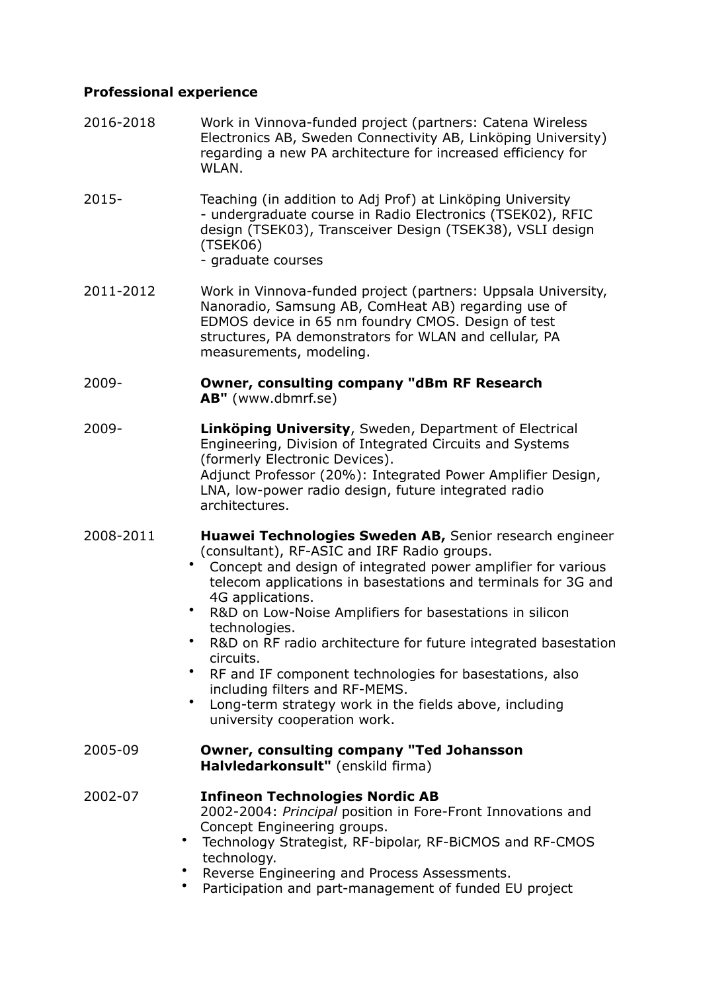## **Professional experience**

- 2016-2018 Work in Vinnova-funded project (partners: Catena Wireless Electronics AB, Sweden Connectivity AB, Linköping University) regarding a new PA architecture for increased efficiency for WLAN.
- 2015- Teaching (in addition to Adj Prof) at Linköping University - undergraduate course in Radio Electronics (TSEK02), RFIC design (TSEK03), Transceiver Design (TSEK38), VSLI design (TSEK06)
	- graduate courses
- 2011-2012 Work in Vinnova-funded project (partners: Uppsala University, Nanoradio, Samsung AB, ComHeat AB) regarding use of EDMOS device in 65 nm foundry CMOS. Design of test structures, PA demonstrators for WLAN and cellular, PA measurements, modeling.

#### 2009- **Owner, consulting company "dBm RF Research AB"** (www.dbmrf.se)

- 2009- **Linköping University**, Sweden, Department of Electrical Engineering, Division of Integrated Circuits and Systems (formerly Electronic Devices). Adjunct Professor (20%): Integrated Power Amplifier Design, LNA, low-power radio design, future integrated radio architectures.
- 2008-2011 **Huawei Technologies Sweden AB,** Senior research engineer (consultant), RF-ASIC and IRF Radio groups.
	- Concept and design of integrated power amplifier for various telecom applications in basestations and terminals for 3G and 4G applications.
	- R&D on Low-Noise Amplifiers for basestations in silicon technologies.
	- R&D on RF radio architecture for future integrated basestation circuits.
	- RF and IF component technologies for basestations, also including filters and RF-MEMS.
	- Long-term strategy work in the fields above, including university cooperation work.
- 2005-09 **Owner, consulting company "Ted Johansson Halvledarkonsult"** (enskild firma)
- 2002-07 **Infineon Technologies Nordic AB**  2002-2004: *Principal* position in Fore-Front Innovations and Concept Engineering groups.
	- Technology Strategist, RF-bipolar, RF-BiCMOS and RF-CMOS technology.
	- Reverse Engineering and Process Assessments.
	- Participation and part-management of funded EU project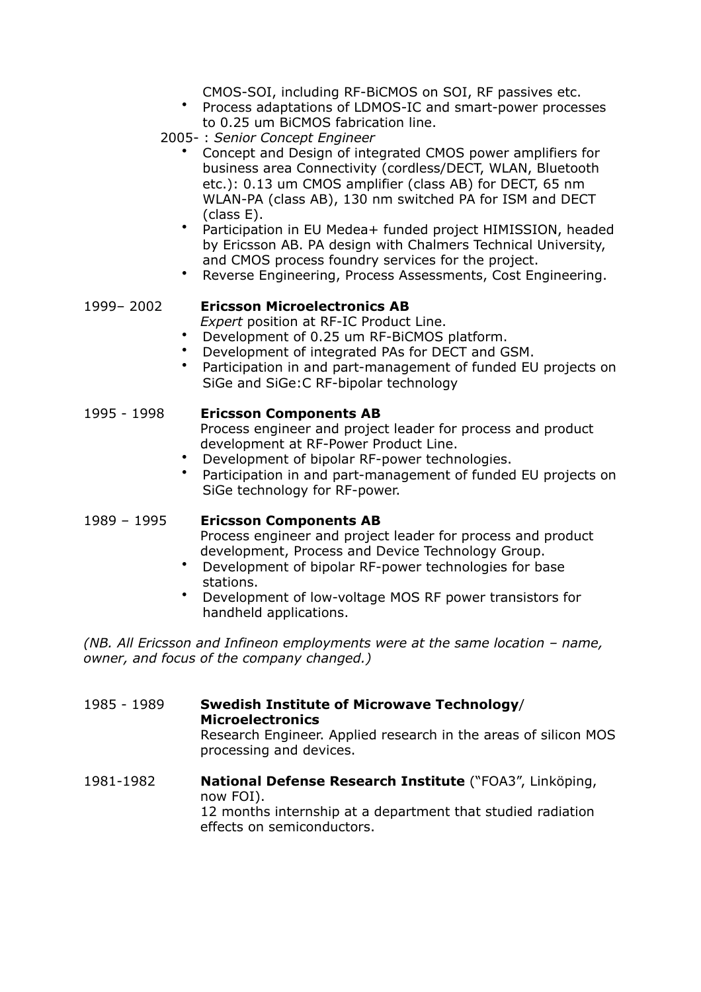CMOS-SOI, including RF-BiCMOS on SOI, RF passives etc.

- Process adaptations of LDMOS-IC and smart-power processes to 0.25 um BiCMOS fabrication line.
- 2005- : *Senior Concept Engineer* 
	- Concept and Design of integrated CMOS power amplifiers for business area Connectivity (cordless/DECT, WLAN, Bluetooth etc.): 0.13 um CMOS amplifier (class AB) for DECT, 65 nm WLAN-PA (class AB), 130 nm switched PA for ISM and DECT (class E).
	- Participation in EU Medea+ funded project HIMISSION, headed by Ericsson AB. PA design with Chalmers Technical University, and CMOS process foundry services for the project.
	- Reverse Engineering, Process Assessments, Cost Engineering.

#### 1999– 2002 **Ericsson Microelectronics AB**

*Expert* position at RF-IC Product Line.

- Development of 0.25 um RF-BiCMOS platform.
- Development of integrated PAs for DECT and GSM.
- Participation in and part-management of funded EU projects on SiGe and SiGe:C RF-bipolar technology

#### 1995 - 1998 **Ericsson Components AB**

Process engineer and project leader for process and product development at RF-Power Product Line.

- Development of bipolar RF-power technologies.
- Participation in and part-management of funded EU projects on SiGe technology for RF-power.

#### 1989 – 1995 **Ericsson Components AB**

Process engineer and project leader for process and product development, Process and Device Technology Group.

- Development of bipolar RF-power technologies for base stations.
- Development of low-voltage MOS RF power transistors for handheld applications.

*(NB. All Ericsson and Infineon employments were at the same location – name, owner, and focus of the company changed.)* 

1985 - 1989 **Swedish Institute of Microwave Technology**/ **Microelectronics**  Research Engineer. Applied research in the areas of silicon MOS processing and devices.

1981-1982 **National Defense Research Institute** ("FOA3", Linköping, now FOI). 12 months internship at a department that studied radiation effects on semiconductors.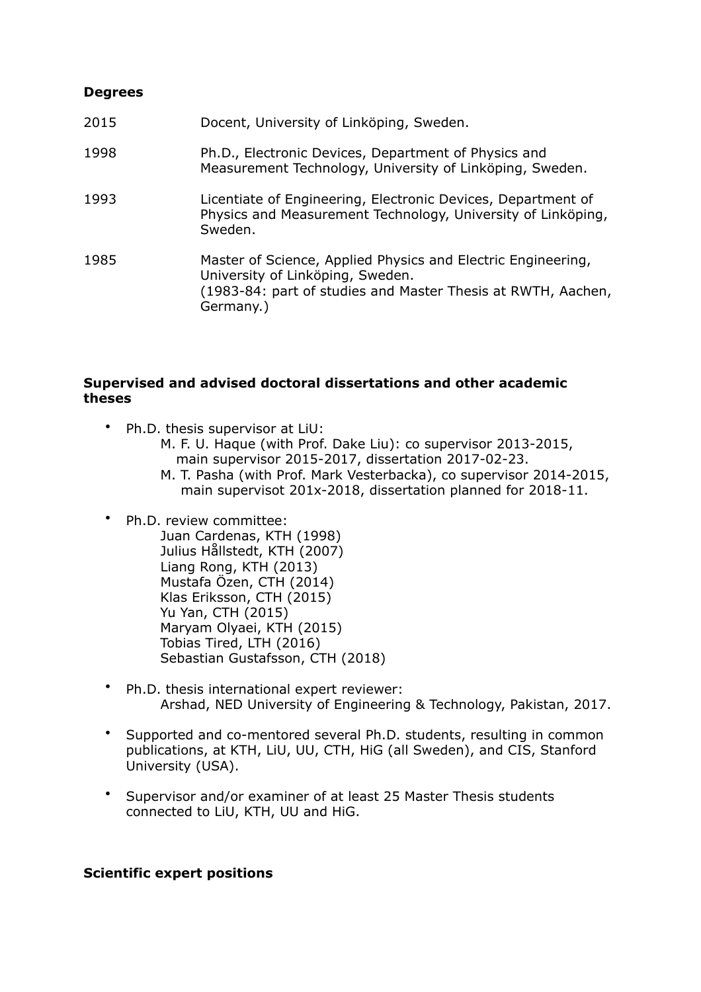## **Degrees**

| 2015 | Docent, University of Linköping, Sweden.                                                                                                                                      |
|------|-------------------------------------------------------------------------------------------------------------------------------------------------------------------------------|
| 1998 | Ph.D., Electronic Devices, Department of Physics and<br>Measurement Technology, University of Linköping, Sweden.                                                              |
| 1993 | Licentiate of Engineering, Electronic Devices, Department of<br>Physics and Measurement Technology, University of Linköping,<br>Sweden.                                       |
| 1985 | Master of Science, Applied Physics and Electric Engineering,<br>University of Linköping, Sweden.<br>(1983-84: part of studies and Master Thesis at RWTH, Aachen,<br>Germany.) |

#### **Supervised and advised doctoral dissertations and other academic theses**

- Ph.D. thesis supervisor at LiU:
	- M. F. U. Haque (with Prof. Dake Liu): co supervisor 2013-2015, main supervisor 2015-2017, dissertation 2017-02-23.
	- M. T. Pasha (with Prof. Mark Vesterbacka), co supervisor 2014-2015, main supervisot 201x-2018, dissertation planned for 2018-11.

## • Ph.D. review committee:

- Juan Cardenas, KTH (1998) Julius Hållstedt, KTH (2007) Liang Rong, KTH (2013) Mustafa Özen, CTH (2014) Klas Eriksson, CTH (2015) Yu Yan, CTH (2015) Maryam Olyaei, KTH (2015) Tobias Tired, LTH (2016) Sebastian Gustafsson, CTH (2018)
- Ph.D. thesis international expert reviewer: Arshad, NED University of Engineering & Technology, Pakistan, 2017.
- Supported and co-mentored several Ph.D. students, resulting in common publications, at KTH, LiU, UU, CTH, HiG (all Sweden), and CIS, Stanford University (USA).
- Supervisor and/or examiner of at least 25 Master Thesis students connected to LiU, KTH, UU and HiG.

## **Scientific expert positions**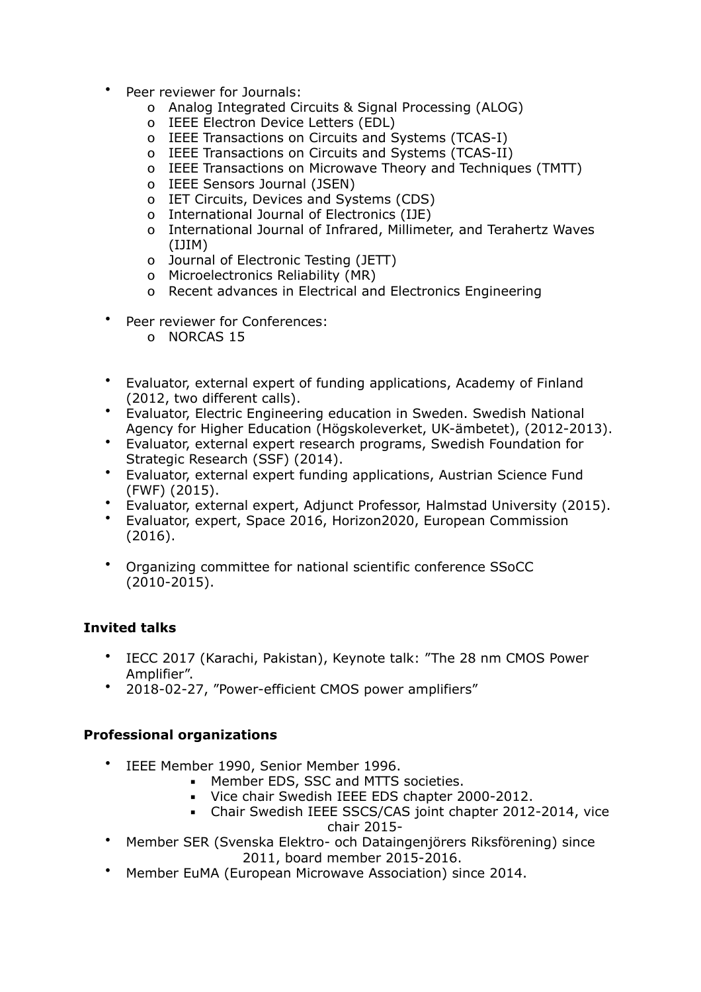- Peer reviewer for Journals:
	- o Analog Integrated Circuits & Signal Processing (ALOG)
	- o IEEE Electron Device Letters (EDL)
	- o IEEE Transactions on Circuits and Systems (TCAS-I)
	- o IEEE Transactions on Circuits and Systems (TCAS-II)
	- o IEEE Transactions on Microwave Theory and Techniques (TMTT)
	- o IEEE Sensors Journal (JSEN)
	- o IET Circuits, Devices and Systems (CDS)
	- o International Journal of Electronics (IJE)
	- o International Journal of Infrared, Millimeter, and Terahertz Waves (IJIM)
	- o Journal of Electronic Testing (JETT)
	- o Microelectronics Reliability (MR)
	- o Recent advances in Electrical and Electronics Engineering
- Peer reviewer for Conferences:
	- o NORCAS 15
- Evaluator, external expert of funding applications, Academy of Finland (2012, two different calls).
- Evaluator, Electric Engineering education in Sweden. Swedish National Agency for Higher Education (Högskoleverket, UK-ämbetet), (2012-2013).
- Evaluator, external expert research programs, Swedish Foundation for Strategic Research (SSF) (2014).
- Evaluator, external expert funding applications, Austrian Science Fund (FWF) (2015).
- Evaluator, external expert, Adjunct Professor, Halmstad University (2015).
- Evaluator, expert, Space 2016, Horizon2020, European Commission (2016).
- Organizing committee for national scientific conference SSoCC (2010-2015).

# **Invited talks**

- IECC 2017 (Karachi, Pakistan), Keynote talk: "The 28 nm CMOS Power Amplifier".
- 2018-02-27, "Power-efficient CMOS power amplifiers"

# **Professional organizations**

- IEEE Member 1990, Senior Member 1996.
	- **EXECUTE:** Member EDS, SSC and MTTS societies.
	- Vice chair Swedish IEEE EDS chapter 2000-2012.
	- Chair Swedish IEEE SSCS/CAS joint chapter 2012-2014, vice

chair 2015-

- Member SER (Svenska Elektro- och Dataingenjörers Riksförening) since 2011, board member 2015-2016.
- Member EuMA (European Microwave Association) since 2014.